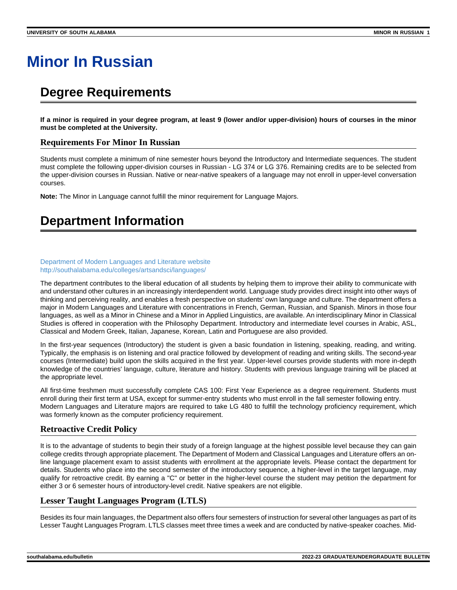# **Minor In Russian**

## **Degree Requirements**

**If a minor is required in your degree program, at least 9 (lower and/or upper-division) hours of courses in the minor must be completed at the University.**

### **Requirements For Minor In Russian**

Students must complete a minimum of nine semester hours beyond the Introductory and Intermediate sequences. The student must complete the following upper-division courses in Russian - LG 374 or LG 376. Remaining credits are to be selected from the upper-division courses in Russian. Native or near-native speakers of a language may not enroll in upper-level conversation courses.

**Note:** The Minor in Language cannot fulfill the minor requirement for Language Majors.

## **Department Information**

#### [Department of Modern Languages and Literature website](http://southalabama.edu/colleges/artsandsci/languages/) <http://southalabama.edu/colleges/artsandsci/languages/>

The department contributes to the liberal education of all students by helping them to improve their ability to communicate with and understand other cultures in an increasingly interdependent world. Language study provides direct insight into other ways of thinking and perceiving reality, and enables a fresh perspective on students' own language and culture. The department offers a major in Modern Languages and Literature with concentrations in French, German, Russian, and Spanish. Minors in those four languages, as well as a Minor in Chinese and a Minor in Applied Linguistics, are available. An interdisciplinary Minor in Classical Studies is offered in cooperation with the Philosophy Department. Introductory and intermediate level courses in Arabic, ASL, Classical and Modern Greek, Italian, Japanese, Korean, Latin and Portuguese are also provided.

In the first-year sequences (Introductory) the student is given a basic foundation in listening, speaking, reading, and writing. Typically, the emphasis is on listening and oral practice followed by development of reading and writing skills. The second-year courses (Intermediate) build upon the skills acquired in the first year. Upper-level courses provide students with more in-depth knowledge of the countries' language, culture, literature and history. Students with previous language training will be placed at the appropriate level.

All first-time freshmen must successfully complete CAS 100: First Year Experience as a degree requirement. Students must enroll during their first term at USA, except for summer-entry students who must enroll in the fall semester following entry. Modern Languages and Literature majors are required to take LG 480 to fulfill the technology proficiency requirement, which was formerly known as the computer proficiency requirement.

## **Retroactive Credit Policy**

It is to the advantage of students to begin their study of a foreign language at the highest possible level because they can gain college credits through appropriate placement. The Department of Modern and Classical Languages and Literature offers an online language placement exam to assist students with enrollment at the appropriate levels. Please contact the department for details. Students who place into the second semester of the introductory sequence, a higher-level in the target language, may qualify for retroactive credit. By earning a "C" or better in the higher-level course the student may petition the department for either 3 or 6 semester hours of introductory-level credit. Native speakers are not eligible.

## **Lesser Taught Languages Program (LTLS)**

Besides its four main languages, the Department also offers four semesters of instruction for several other languages as part of its Lesser Taught Languages Program. LTLS classes meet three times a week and are conducted by native-speaker coaches. Mid